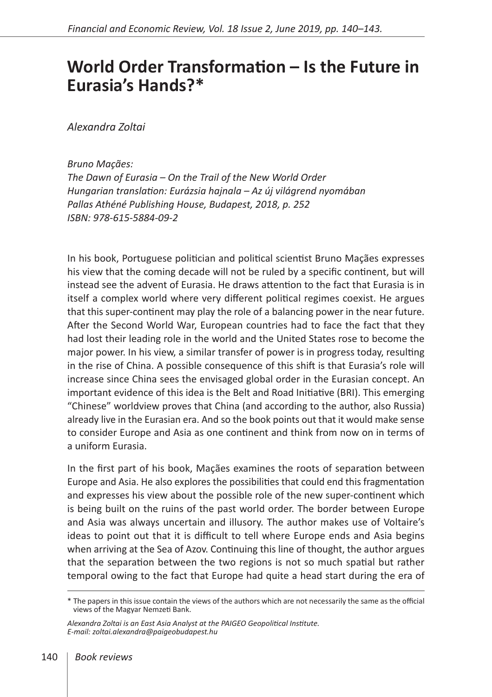## **World Order Transformation – Is the Future in Eurasia's Hands?\***

*Alexandra Zoltai*

*Bruno Maçães: The Dawn of Eurasia – On the Trail of the New World Order Hungarian translation: Eurázsia hajnala – Az új világrend nyomában Pallas Athéné Publishing House, Budapest, 2018, p. 252 ISBN: 978-615-5884-09-2* 

In his book, Portuguese politician and political scientist Bruno Maçães expresses his view that the coming decade will not be ruled by a specific continent, but will instead see the advent of Eurasia. He draws attention to the fact that Eurasia is in itself a complex world where very different political regimes coexist. He argues that this super-continent may play the role of a balancing power in the near future. After the Second World War, European countries had to face the fact that they had lost their leading role in the world and the United States rose to become the major power. In his view, a similar transfer of power is in progress today, resulting in the rise of China. A possible consequence of this shift is that Eurasia's role will increase since China sees the envisaged global order in the Eurasian concept. An important evidence of this idea is the Belt and Road Initiative (BRI). This emerging "Chinese" worldview proves that China (and according to the author, also Russia) already live in the Eurasian era. And so the book points out that it would make sense to consider Europe and Asia as one continent and think from now on in terms of a uniform Eurasia.

In the first part of his book, Maçães examines the roots of separation between Europe and Asia. He also explores the possibilities that could end this fragmentation and expresses his view about the possible role of the new super-continent which is being built on the ruins of the past world order. The border between Europe and Asia was always uncertain and illusory. The author makes use of Voltaire's ideas to point out that it is difficult to tell where Europe ends and Asia begins when arriving at the Sea of Azov. Continuing this line of thought, the author argues that the separation between the two regions is not so much spatial but rather temporal owing to the fact that Europe had quite a head start during the era of

<sup>\*</sup> The papers in this issue contain the views of the authors which are not necessarily the same as the official views of the Magyar Nemzeti Bank.

*Alexandra Zoltai is an East Asia Analyst at the PAIGEO Geopolitical Institute. E-mail: zoltai.alexandra@paigeobudapest.hu*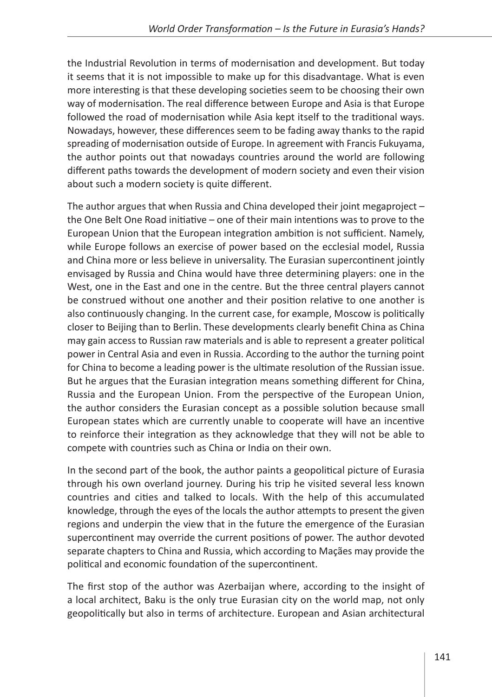the Industrial Revolution in terms of modernisation and development. But today it seems that it is not impossible to make up for this disadvantage. What is even more interesting is that these developing societies seem to be choosing their own way of modernisation. The real difference between Europe and Asia is that Europe followed the road of modernisation while Asia kept itself to the traditional ways. Nowadays, however, these differences seem to be fading away thanks to the rapid spreading of modernisation outside of Europe. In agreement with Francis Fukuyama, the author points out that nowadays countries around the world are following different paths towards the development of modern society and even their vision about such a modern society is quite different.

The author argues that when Russia and China developed their joint megaproject – the One Belt One Road initiative – one of their main intentions was to prove to the European Union that the European integration ambition is not sufficient. Namely, while Europe follows an exercise of power based on the ecclesial model, Russia and China more or less believe in universality. The Eurasian supercontinent jointly envisaged by Russia and China would have three determining players: one in the West, one in the East and one in the centre. But the three central players cannot be construed without one another and their position relative to one another is also continuously changing. In the current case, for example, Moscow is politically closer to Beijing than to Berlin. These developments clearly benefit China as China may gain access to Russian raw materials and is able to represent a greater political power in Central Asia and even in Russia. According to the author the turning point for China to become a leading power is the ultimate resolution of the Russian issue. But he argues that the Eurasian integration means something different for China, Russia and the European Union. From the perspective of the European Union, the author considers the Eurasian concept as a possible solution because small European states which are currently unable to cooperate will have an incentive to reinforce their integration as they acknowledge that they will not be able to compete with countries such as China or India on their own.

In the second part of the book, the author paints a geopolitical picture of Eurasia through his own overland journey. During his trip he visited several less known countries and cities and talked to locals. With the help of this accumulated knowledge, through the eyes of the locals the author attempts to present the given regions and underpin the view that in the future the emergence of the Eurasian supercontinent may override the current positions of power. The author devoted separate chapters to China and Russia, which according to Maçães may provide the political and economic foundation of the supercontinent.

The first stop of the author was Azerbaijan where, according to the insight of a local architect, Baku is the only true Eurasian city on the world map, not only geopolitically but also in terms of architecture. European and Asian architectural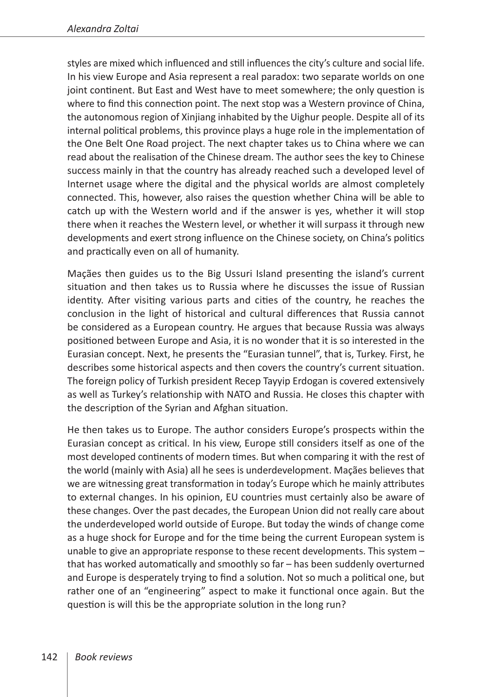styles are mixed which influenced and still influences the city's culture and social life. In his view Europe and Asia represent a real paradox: two separate worlds on one joint continent. But East and West have to meet somewhere; the only question is where to find this connection point. The next stop was a Western province of China, the autonomous region of Xinjiang inhabited by the Uighur people. Despite all of its internal political problems, this province plays a huge role in the implementation of the One Belt One Road project. The next chapter takes us to China where we can read about the realisation of the Chinese dream. The author sees the key to Chinese success mainly in that the country has already reached such a developed level of Internet usage where the digital and the physical worlds are almost completely connected. This, however, also raises the question whether China will be able to catch up with the Western world and if the answer is yes, whether it will stop there when it reaches the Western level, or whether it will surpass it through new developments and exert strong influence on the Chinese society, on China's politics and practically even on all of humanity.

Maçães then guides us to the Big Ussuri Island presenting the island's current situation and then takes us to Russia where he discusses the issue of Russian identity. After visiting various parts and cities of the country, he reaches the conclusion in the light of historical and cultural differences that Russia cannot be considered as a European country. He argues that because Russia was always positioned between Europe and Asia, it is no wonder that it is so interested in the Eurasian concept. Next, he presents the "Eurasian tunnel", that is, Turkey. First, he describes some historical aspects and then covers the country's current situation. The foreign policy of Turkish president Recep Tayyip Erdogan is covered extensively as well as Turkey's relationship with NATO and Russia. He closes this chapter with the description of the Syrian and Afghan situation.

He then takes us to Europe. The author considers Europe's prospects within the Eurasian concept as critical. In his view, Europe still considers itself as one of the most developed continents of modern times. But when comparing it with the rest of the world (mainly with Asia) all he sees is underdevelopment. Maçães believes that we are witnessing great transformation in today's Europe which he mainly attributes to external changes. In his opinion, EU countries must certainly also be aware of these changes. Over the past decades, the European Union did not really care about the underdeveloped world outside of Europe. But today the winds of change come as a huge shock for Europe and for the time being the current European system is unable to give an appropriate response to these recent developments. This system – that has worked automatically and smoothly so far – has been suddenly overturned and Europe is desperately trying to find a solution. Not so much a political one, but rather one of an "engineering" aspect to make it functional once again. But the question is will this be the appropriate solution in the long run?